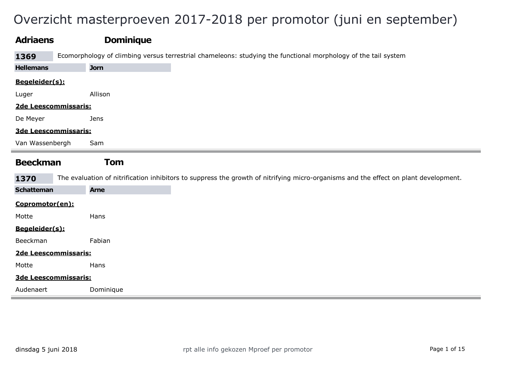## Overzicht masterproeven 2017-2018 per promotor (juni en september)

| <b>Adriaens</b>      | <b>Dominique</b>                                                                                                                     |
|----------------------|--------------------------------------------------------------------------------------------------------------------------------------|
| 1369                 | Ecomorphology of climbing versus terrestrial chameleons: studying the functional morphology of the tail system                       |
| <b>Hellemans</b>     | <b>Jorn</b>                                                                                                                          |
| Begeleider(s):       |                                                                                                                                      |
| Luger                | Allison                                                                                                                              |
| 2de Leescommissaris: |                                                                                                                                      |
| De Meyer             | <b>Jens</b>                                                                                                                          |
| 3de Leescommissaris: |                                                                                                                                      |
| Van Wassenbergh      | Sam                                                                                                                                  |
| <b>Beeckman</b>      | <b>Tom</b>                                                                                                                           |
| 1370                 | The evaluation of nitrification inhibitors to suppress the growth of nitrifying micro-organisms and the effect on plant development. |
| <b>Schatteman</b>    | <b>Arne</b>                                                                                                                          |
| Copromotor(en):      |                                                                                                                                      |
| Motte                | Hans                                                                                                                                 |
| Begeleider(s):       |                                                                                                                                      |
| Beeckman             | Fabian                                                                                                                               |
| 2de Leescommissaris: |                                                                                                                                      |
|                      |                                                                                                                                      |
| Motte                | Hans                                                                                                                                 |
| 3de Leescommissaris: |                                                                                                                                      |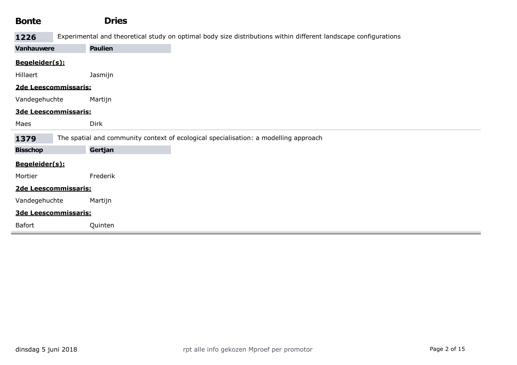| <b>Bonte</b>         | <b>Dries</b>   |                                                                                                                 |
|----------------------|----------------|-----------------------------------------------------------------------------------------------------------------|
| 1226                 |                | Experimental and theoretical study on optimal body size distributions within different landscape configurations |
| <b>Vanhauwere</b>    | <b>Paulien</b> |                                                                                                                 |
| Begeleider(s):       |                |                                                                                                                 |
| Hillaert             | Jasmijn        |                                                                                                                 |
| 2de Leescommissaris: |                |                                                                                                                 |
| Vandegehuchte        | Martijn        |                                                                                                                 |
| 3de Leescommissaris: |                |                                                                                                                 |
| Maes                 | <b>Dirk</b>    |                                                                                                                 |
| 1379                 |                | The spatial and community context of ecological specialisation: a modelling approach                            |
| <b>Bisschop</b>      | Gertjan        |                                                                                                                 |
| Begeleider(s):       |                |                                                                                                                 |
| Mortier              | Frederik       |                                                                                                                 |
| 2de Leescommissaris: |                |                                                                                                                 |
| Vandegehuchte        | Martijn        |                                                                                                                 |
| 3de Leescommissaris: |                |                                                                                                                 |
| Bafort               | Quinten        |                                                                                                                 |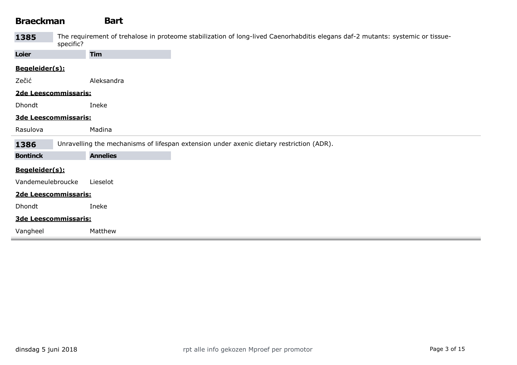# Braeckman Bart

| 1385                 | The requirement of trehalose in proteome stabilization of long-lived Caenorhabditis elegans daf-2 mutants: systemic or tissue-<br>specific? |  |  |  |  |  |  |
|----------------------|---------------------------------------------------------------------------------------------------------------------------------------------|--|--|--|--|--|--|
| Loier                | <b>Tim</b>                                                                                                                                  |  |  |  |  |  |  |
| Begeleider(s):       |                                                                                                                                             |  |  |  |  |  |  |
| Zečić                | Aleksandra                                                                                                                                  |  |  |  |  |  |  |
|                      | 2de Leescommissaris:                                                                                                                        |  |  |  |  |  |  |
| Dhondt               | Ineke                                                                                                                                       |  |  |  |  |  |  |
|                      | 3de Leescommissaris:                                                                                                                        |  |  |  |  |  |  |
| Rasulova             | Madina                                                                                                                                      |  |  |  |  |  |  |
| 1386                 | Unravelling the mechanisms of lifespan extension under axenic dietary restriction (ADR).                                                    |  |  |  |  |  |  |
| <b>Bontinck</b>      | <b>Annelies</b>                                                                                                                             |  |  |  |  |  |  |
| Begeleider(s):       |                                                                                                                                             |  |  |  |  |  |  |
| Vandemeulebroucke    | Lieselot                                                                                                                                    |  |  |  |  |  |  |
| 2de Leescommissaris: |                                                                                                                                             |  |  |  |  |  |  |
| Dhondt               | Ineke                                                                                                                                       |  |  |  |  |  |  |
|                      |                                                                                                                                             |  |  |  |  |  |  |
|                      | 3de Leescommissaris:                                                                                                                        |  |  |  |  |  |  |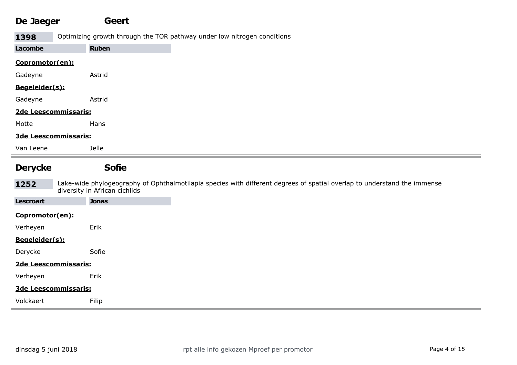#### De Jaeger Geert

1398 Optimizing growth through the TOR pathway under low nitrogen conditions

| Lacombe              | <b>Ruben</b> |
|----------------------|--------------|
| Copromotor(en):      |              |
| Gadeyne              | Astrid       |
| Begeleider(s):       |              |
| Gadeyne              | Astrid       |
| 2de Leescommissaris: |              |
| Motte                | Hans         |
| 3de Leescommissaris: |              |
| Van Leene            | Jelle        |
|                      | <b>Sofie</b> |

**1252** Lake-wide phylogeography of Ophthalmotilapia species with different degrees of spatial overlap to understand the immense diversity in African cichlids

| <b>Lescroart</b>                                                                                                                                                                                                                                                                                            | <b>Jonas</b>          |
|-------------------------------------------------------------------------------------------------------------------------------------------------------------------------------------------------------------------------------------------------------------------------------------------------------------|-----------------------|
| Copromotor(en):                                                                                                                                                                                                                                                                                             |                       |
| Verheyen                                                                                                                                                                                                                                                                                                    | Erik                  |
| <u>Begeleider(s):</u>                                                                                                                                                                                                                                                                                       |                       |
| Derycke                                                                                                                                                                                                                                                                                                     | Sofie                 |
| 2de Leescommissaris:                                                                                                                                                                                                                                                                                        |                       |
| Verheyen                                                                                                                                                                                                                                                                                                    | Erik                  |
| 3de Leescommissaris:                                                                                                                                                                                                                                                                                        |                       |
| $\mathbf{v}$ , $\mathbf{v}$ , $\mathbf{v}$ , $\mathbf{v}$ , $\mathbf{v}$ , $\mathbf{v}$ , $\mathbf{v}$ , $\mathbf{v}$ , $\mathbf{v}$ , $\mathbf{v}$ , $\mathbf{v}$ , $\mathbf{v}$ , $\mathbf{v}$ , $\mathbf{v}$ , $\mathbf{v}$ , $\mathbf{v}$ , $\mathbf{v}$ , $\mathbf{v}$ , $\mathbf{v}$ , $\mathbf{v}$ , | $- \cdot \cdot \cdot$ |

| Volckae<br>. | Filip<br>. |  |  |  |
|--------------|------------|--|--|--|
|              |            |  |  |  |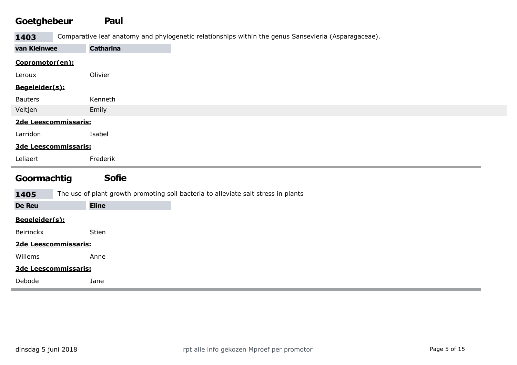#### Goetghebeur Paul

1403 Comparative leaf anatomy and phylogenetic relationships within the genus Sansevieria (Asparagaceae).

| van Kleinwee         | <b>Catharina</b> |
|----------------------|------------------|
| Copromotor(en):      |                  |
| Leroux               | Olivier          |
| Begeleider(s):       |                  |
| <b>Bauters</b>       | Kenneth          |
| Veltjen              | Emily            |
| 2de Leescommissaris: |                  |
| Larridon             | Isabel           |
| 3de Leescommissaris: |                  |
| Leliaert             | Frederik         |
| $\sim$ $\sim$ $\sim$ | --               |

#### Goormachtig Sofie

1405 The use of plant growth promoting soil bacteria to alleviate salt stress in plants

| - - - -              |              |  |
|----------------------|--------------|--|
| <b>De Reu</b>        | <b>Eline</b> |  |
| Begeleider(s):       |              |  |
| Beirinckx            | Stien        |  |
| 2de Leescommissaris: |              |  |
| Willems              | Anne         |  |
| 3de Leescommissaris: |              |  |
| Debode               | Jane         |  |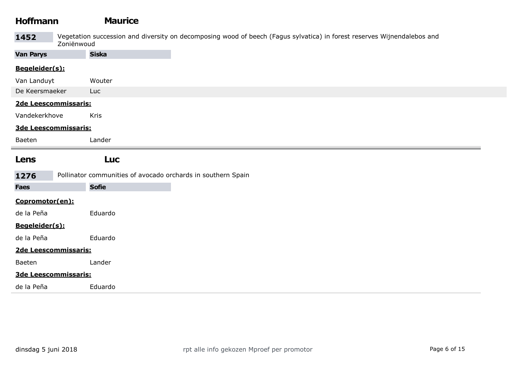| <b>Hoffmann</b>  |                      | <b>Maurice</b>                                                                                                          |
|------------------|----------------------|-------------------------------------------------------------------------------------------------------------------------|
| 1452             | Zoniënwoud           | Vegetation succession and diversity on decomposing wood of beech (Fagus sylvatica) in forest reserves Wijnendalebos and |
| <b>Van Parys</b> |                      | <b>Siska</b>                                                                                                            |
| Begeleider(s):   |                      |                                                                                                                         |
| Van Landuyt      |                      | Wouter                                                                                                                  |
| De Keersmaeker   |                      | Luc                                                                                                                     |
|                  | 2de Leescommissaris: |                                                                                                                         |
| Vandekerkhove    |                      | Kris                                                                                                                    |
|                  | 3de Leescommissaris: |                                                                                                                         |
| Baeten           |                      | Lander                                                                                                                  |
| Lens             |                      | <b>Luc</b>                                                                                                              |
| 1276             |                      | Pollinator communities of avocado orchards in southern Spain                                                            |
| <b>Faes</b>      |                      | <b>Sofie</b>                                                                                                            |
| Copromotor(en):  |                      |                                                                                                                         |
| de la Peña       |                      | Eduardo                                                                                                                 |
| Begeleider(s):   |                      |                                                                                                                         |
| de la Peña       |                      | Eduardo                                                                                                                 |
|                  | 2de Leescommissaris: |                                                                                                                         |
| Baeten           |                      | Lander                                                                                                                  |
|                  | 3de Leescommissaris: |                                                                                                                         |
| de la Peña       |                      | Eduardo                                                                                                                 |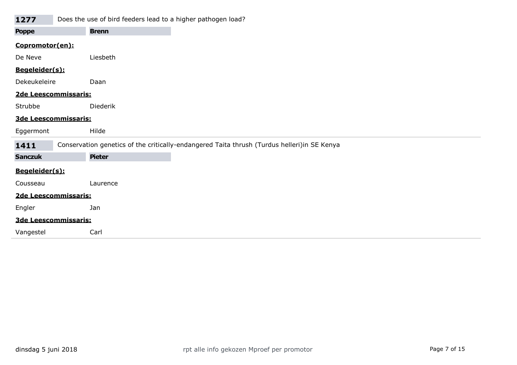| 1277                 |                      | Does the use of bird feeders lead to a higher pathogen load?                                |
|----------------------|----------------------|---------------------------------------------------------------------------------------------|
| <b>Poppe</b>         |                      | <b>Brenn</b>                                                                                |
| Copromotor(en):      |                      |                                                                                             |
| De Neve              |                      | Liesbeth                                                                                    |
| Begeleider(s):       |                      |                                                                                             |
| Dekeukeleire         |                      | Daan                                                                                        |
| 2de Leescommissaris: |                      |                                                                                             |
| Strubbe              |                      | Diederik                                                                                    |
|                      | 3de Leescommissaris: |                                                                                             |
| Eggermont            |                      | Hilde                                                                                       |
| 1411                 |                      | Conservation genetics of the critically-endangered Taita thrush (Turdus helleri)in SE Kenya |
| <b>Sanczuk</b>       |                      | <b>Pieter</b>                                                                               |
| Begeleider(s):       |                      |                                                                                             |
| Cousseau             |                      | Laurence                                                                                    |
| 2de Leescommissaris: |                      |                                                                                             |
| Engler               |                      | Jan                                                                                         |
|                      | 3de Leescommissaris: |                                                                                             |
| Vangestel            |                      | Carl                                                                                        |

the control of the control of

**COL**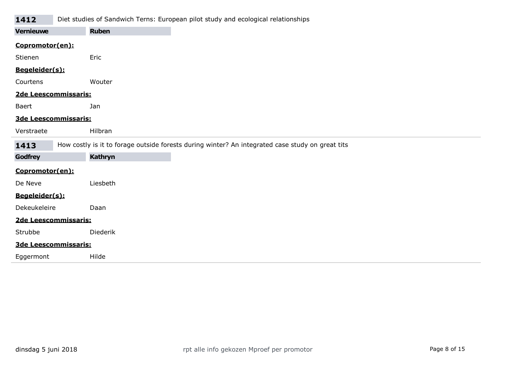#### 1412 Diet studies of Sandwich Terns: European pilot study and ecological relationships

| ----                 |                      |                                                                                                  |
|----------------------|----------------------|--------------------------------------------------------------------------------------------------|
| <b>Vernieuwe</b>     |                      | <b>Ruben</b>                                                                                     |
| Copromotor(en):      |                      |                                                                                                  |
| Stienen              |                      | Eric                                                                                             |
| Begeleider(s):       |                      |                                                                                                  |
| Courtens             |                      | Wouter                                                                                           |
| 2de Leescommissaris: |                      |                                                                                                  |
| Baert                | Jan                  |                                                                                                  |
|                      | 3de Leescommissaris: |                                                                                                  |
| Verstraete           |                      | Hilbran                                                                                          |
| 1413                 |                      | How costly is it to forage outside forests during winter? An integrated case study on great tits |
| Godfrey              |                      | <b>Kathryn</b>                                                                                   |
| Copromotor(en):      |                      |                                                                                                  |
| De Neve              |                      | Liesbeth                                                                                         |
| Begeleider(s):       |                      |                                                                                                  |
| Dekeukeleire         |                      | Daan                                                                                             |
| 2de Leescommissaris: |                      |                                                                                                  |
| Strubbe              |                      | Diederik                                                                                         |
| 3de Leescommissaris: |                      |                                                                                                  |
| Eggermont            |                      | Hilde                                                                                            |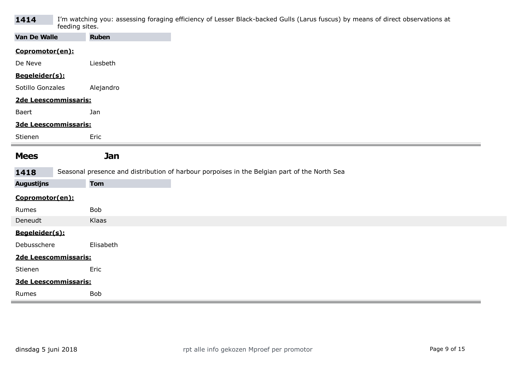| 1414 | I'm watching you: assessing foraging efficiency of Lesser Black-backed Gulls (Larus fuscus) by means of direct observations at |
|------|--------------------------------------------------------------------------------------------------------------------------------|
|      | feeding sites.                                                                                                                 |

| reading piccor       |                                                                                              |
|----------------------|----------------------------------------------------------------------------------------------|
| Van De Walle         | <b>Ruben</b>                                                                                 |
| Copromotor(en):      |                                                                                              |
| De Neve              | Liesbeth                                                                                     |
| Begeleider(s):       |                                                                                              |
| Sotillo Gonzales     | Alejandro                                                                                    |
| 2de Leescommissaris: |                                                                                              |
| Baert                | Jan                                                                                          |
| 3de Leescommissaris: |                                                                                              |
| Stienen              | Eric                                                                                         |
|                      |                                                                                              |
| <b>Mees</b>          | Jan                                                                                          |
| 1418                 | Seasonal presence and distribution of harbour porpoises in the Belgian part of the North Sea |
| <b>Augustijns</b>    | <b>Tom</b>                                                                                   |
| Copromotor(en):      |                                                                                              |
| Rumes                | Bob                                                                                          |
| Deneudt              | Klaas                                                                                        |
| Begeleider(s):       |                                                                                              |
|                      |                                                                                              |
| Debusschere          | Elisabeth                                                                                    |
| 2de Leescommissaris: |                                                                                              |
| Stienen              | Eric                                                                                         |
| 3de Leescommissaris: |                                                                                              |
|                      |                                                                                              |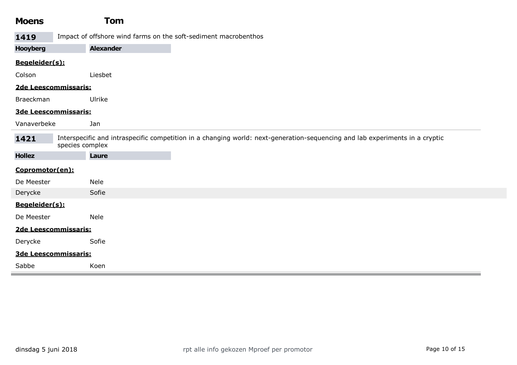| <b>Moens</b>                                                                                                                                            | <b>Tom</b>                                                      |
|---------------------------------------------------------------------------------------------------------------------------------------------------------|-----------------------------------------------------------------|
| 1419                                                                                                                                                    | Impact of offshore wind farms on the soft-sediment macrobenthos |
| <b>Hooyberg</b>                                                                                                                                         | <b>Alexander</b>                                                |
| Begeleider(s):                                                                                                                                          |                                                                 |
| Colson                                                                                                                                                  | Liesbet                                                         |
|                                                                                                                                                         | 2de Leescommissaris:                                            |
| Braeckman                                                                                                                                               | Ulrike                                                          |
|                                                                                                                                                         | 3de Leescommissaris:                                            |
| Vanaverbeke                                                                                                                                             | Jan                                                             |
| Interspecific and intraspecific competition in a changing world: next-generation-sequencing and lab experiments in a cryptic<br>1421<br>species complex |                                                                 |
| <b>Hollez</b>                                                                                                                                           | Laure                                                           |
| Copromotor(en):                                                                                                                                         |                                                                 |
| De Meester                                                                                                                                              | <b>Nele</b>                                                     |
| Derycke                                                                                                                                                 | Sofie                                                           |
| Begeleider(s):                                                                                                                                          |                                                                 |
| De Meester                                                                                                                                              | <b>Nele</b>                                                     |
|                                                                                                                                                         | 2de Leescommissaris:                                            |
| Derycke                                                                                                                                                 | Sofie                                                           |
|                                                                                                                                                         | 3de Leescommissaris:                                            |
| Sabbe                                                                                                                                                   | Koen                                                            |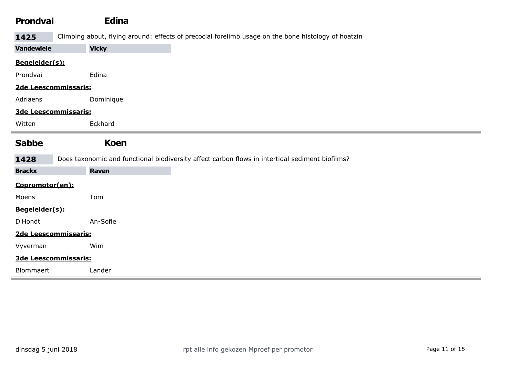| <b>Prondvai</b>      | <b>Edina</b>                                                                                        |
|----------------------|-----------------------------------------------------------------------------------------------------|
| 1425                 | Climbing about, flying around: effects of precocial forelimb usage on the bone histology of hoatzin |
| <b>Vandewiele</b>    | <b>Vicky</b>                                                                                        |
| Begeleider(s):       |                                                                                                     |
| Prondvai             | Edina                                                                                               |
| 2de Leescommissaris: |                                                                                                     |
| Adriaens             | Dominique                                                                                           |
| 3de Leescommissaris: |                                                                                                     |
| Witten               | Eckhard                                                                                             |
| <b>Sabbe</b>         | <b>Koen</b>                                                                                         |
| 1428                 | Does taxonomic and functional biodiversity affect carbon flows in intertidal sediment biofilms?     |
| <b>Brackx</b>        | Raven                                                                                               |
| Copromotor(en):      |                                                                                                     |
| Moens                | Tom                                                                                                 |
| Begeleider(s):       |                                                                                                     |
| D'Hondt              | An-Sofie                                                                                            |
| 2de Leescommissaris: |                                                                                                     |
| Vyverman             | Wim                                                                                                 |
| 3de Leescommissaris: |                                                                                                     |
| Blommaert            | Lander                                                                                              |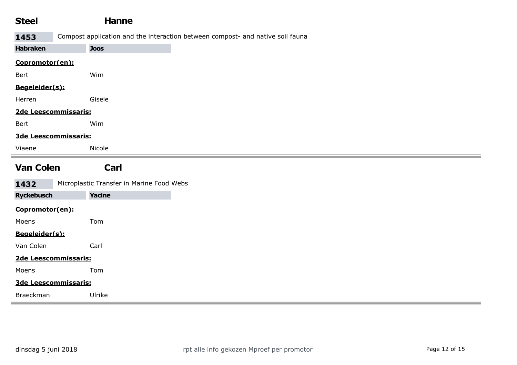| <b>Steel</b>      | <b>Hanne</b>                              |                                                                                |  |
|-------------------|-------------------------------------------|--------------------------------------------------------------------------------|--|
| 1453              |                                           | Compost application and the interaction between compost- and native soil fauna |  |
| <b>Habraken</b>   | <b>Joos</b>                               |                                                                                |  |
| Copromotor(en):   |                                           |                                                                                |  |
| Bert              | Wim                                       |                                                                                |  |
| Begeleider(s):    |                                           |                                                                                |  |
| Herren            | Gisele                                    |                                                                                |  |
|                   | 2de Leescommissaris:                      |                                                                                |  |
| Bert              | Wim                                       |                                                                                |  |
|                   | 3de Leescommissaris:                      |                                                                                |  |
| Viaene            | Nicole                                    |                                                                                |  |
|                   |                                           |                                                                                |  |
| <b>Van Colen</b>  | Carl                                      |                                                                                |  |
| 1432              | Microplastic Transfer in Marine Food Webs |                                                                                |  |
| <b>Ryckebusch</b> | <b>Yacine</b>                             |                                                                                |  |
| Copromotor(en):   |                                           |                                                                                |  |
| Moens             | Tom                                       |                                                                                |  |
| Begeleider(s):    |                                           |                                                                                |  |
| Van Colen         | Carl                                      |                                                                                |  |
|                   | 2de Leescommissaris:                      |                                                                                |  |
| Moens             | Tom                                       |                                                                                |  |
|                   | 3de Leescommissaris:                      |                                                                                |  |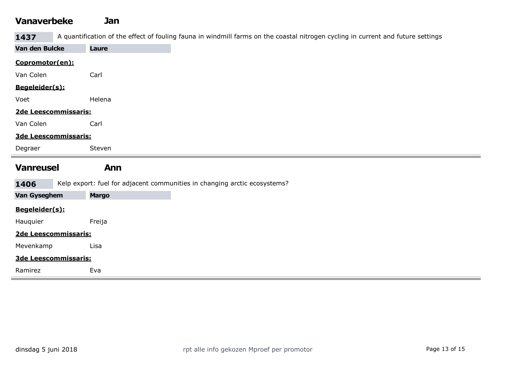#### Vanaverbeke Jan

1437 A quantification of the effect of fouling fauna in windmill farms on the coastal nitrogen cycling in current and future settings

| Van den Bulcke   | Laure                                                                     |
|------------------|---------------------------------------------------------------------------|
| Copromotor(en):  |                                                                           |
| Van Colen        | Carl                                                                      |
| Begeleider(s):   |                                                                           |
| Voet             | Helena                                                                    |
|                  | 2de Leescommissaris:                                                      |
| Van Colen        | Carl                                                                      |
|                  | 3de Leescommissaris:                                                      |
| Degraer          | Steven                                                                    |
|                  |                                                                           |
|                  |                                                                           |
| <b>Vanreusel</b> | <b>Ann</b>                                                                |
| 1406             | Kelp export: fuel for adjacent communities in changing arctic ecosystems? |
| Van Gyseghem     | <b>Margo</b>                                                              |
| Begeleider(s):   |                                                                           |
| Hauquier         | Freija                                                                    |
|                  | 2de Leescommissaris:                                                      |
| Mevenkamp        | Lisa                                                                      |
|                  | 3de Leescommissaris:                                                      |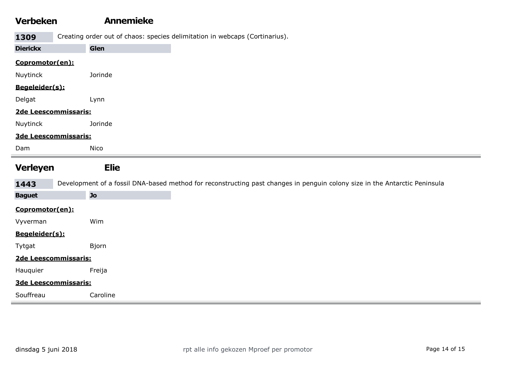#### Verbeken Annemieke

1309 Creating order out of chaos: species delimitation in webcaps (Cortinarius).

| <b>Dierickx</b>            | Glen                                                                                                                                    |
|----------------------------|-----------------------------------------------------------------------------------------------------------------------------------------|
| Copromotor(en):            |                                                                                                                                         |
| Nuytinck                   | Jorinde                                                                                                                                 |
| Begeleider(s):             |                                                                                                                                         |
| Delgat                     | Lynn                                                                                                                                    |
|                            | 2de Leescommissaris:                                                                                                                    |
| Nuytinck                   | Jorinde                                                                                                                                 |
|                            | 3de Leescommissaris:                                                                                                                    |
| Dam                        | Nico                                                                                                                                    |
| <b>Verleyen</b>            | <b>Elie</b>                                                                                                                             |
|                            |                                                                                                                                         |
|                            |                                                                                                                                         |
| 1443<br><b>Baguet</b>      | Development of a fossil DNA-based method for reconstructing past changes in penguin colony size in the Antarctic Peninsula<br><b>Jo</b> |
|                            |                                                                                                                                         |
| Copromotor(en):            | Wim                                                                                                                                     |
| Vyverman<br>Begeleider(s): |                                                                                                                                         |
| Tytgat                     | Bjorn                                                                                                                                   |
|                            | 2de Leescommissaris:                                                                                                                    |
| Hauquier                   | Freija                                                                                                                                  |
|                            | 3de Leescommissaris:                                                                                                                    |